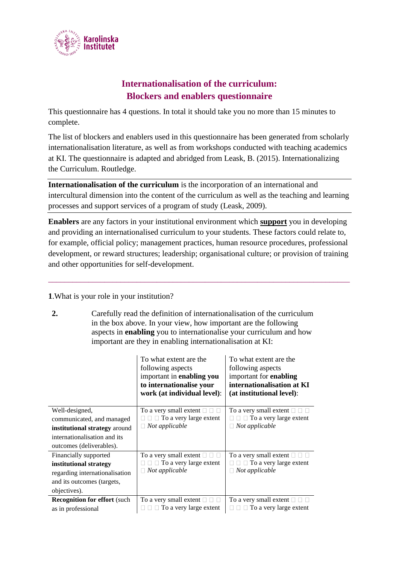

## **Internationalisation of the curriculum: Blockers and enablers questionnaire**

This questionnaire has 4 questions. In total it should take you no more than 15 minutes to complete.

The list of blockers and enablers used in this questionnaire has been generated from scholarly internationalisation literature, as well as from workshops conducted with teaching academics at KI. The questionnaire is adapted and abridged from Leask, B. (2015). Internationalizing the Curriculum. Routledge.

**Internationalisation of the curriculum** is the incorporation of an international and intercultural dimension into the content of the curriculum as well as the teaching and learning processes and support services of a program of study (Leask, 2009).

**Enablers** are any factors in your institutional environment which **support** you in developing and providing an internationalised curriculum to your students. These factors could relate to, for example, official policy; management practices, human resource procedures, professional development, or reward structures; leadership; organisational culture; or provision of training and other opportunities for self-development.

\_\_\_\_\_\_\_\_\_\_\_\_\_\_\_\_\_\_\_\_\_\_\_\_\_\_\_\_\_\_\_\_\_\_\_\_\_\_\_\_\_\_\_\_\_\_\_\_\_\_\_\_\_\_\_\_\_\_\_\_\_\_\_\_\_\_\_\_\_\_\_\_\_\_\_

**1**.What is your role in your institution?

**2.** Carefully read the definition of internationalisation of the curriculum in the box above. In your view, how important are the following aspects in **enabling** you to internationalise your curriculum and how important are they in enabling internationalisation at KI:

|                                             | To what extent are the<br>following aspects<br>important in enabling you<br>to internationalise your<br>work (at individual level): | To what extent are the<br>following aspects<br>important for <b>enabling</b><br>internationalisation at KI<br>(at institutional level): |
|---------------------------------------------|-------------------------------------------------------------------------------------------------------------------------------------|-----------------------------------------------------------------------------------------------------------------------------------------|
| Well-designed,<br>communicated, and managed | To a very small extent $\square$<br>$\Box$ To a very large extent                                                                   | To a very small extent $\square$<br>$\Box$ To a very large extent                                                                       |
| institutional strategy around               | $\Box$ Not applicable                                                                                                               | Not applicable                                                                                                                          |
| internationalisation and its                |                                                                                                                                     |                                                                                                                                         |
| outcomes (deliverables).                    |                                                                                                                                     |                                                                                                                                         |
| Financially supported                       | To a very small extent $\square$                                                                                                    | To a very small extent $\square$                                                                                                        |
| institutional strategy                      | $\Box$ To a very large extent                                                                                                       | $\Box$ To a very large extent                                                                                                           |
| regarding internationalisation              | $\Box$ Not applicable                                                                                                               | Not applicable                                                                                                                          |
| and its outcomes (targets,                  |                                                                                                                                     |                                                                                                                                         |
| objectives).                                |                                                                                                                                     |                                                                                                                                         |
| <b>Recognition for effort (such</b>         | To a very small extent $\square$                                                                                                    | To a very small extent $\square$                                                                                                        |
| as in professional                          | $\Box$ $\Box$ To a very large extent                                                                                                | $\Box$ To a very large extent<br>$\mathbf{L}$                                                                                           |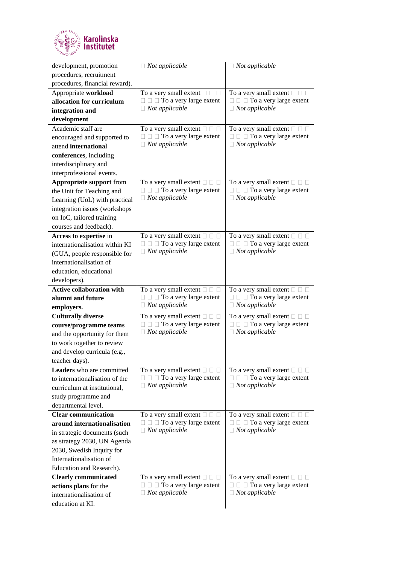

| development, promotion                            | $\Box$ Not applicable                                                                    | $\Box$ Not applicable                                                                    |
|---------------------------------------------------|------------------------------------------------------------------------------------------|------------------------------------------------------------------------------------------|
| procedures, recruitment                           |                                                                                          |                                                                                          |
| procedures, financial reward).                    |                                                                                          |                                                                                          |
| Appropriate workload<br>allocation for curriculum | To a very small extent $\square \square \square$<br>$\Box$ $\Box$ To a very large extent | To a very small extent $\square \square \square$<br>$\Box$ $\Box$ To a very large extent |
| integration and                                   | $\Box$ Not applicable                                                                    | $\Box$ Not applicable                                                                    |
| development                                       |                                                                                          |                                                                                          |
| Academic staff are                                | To a very small extent $\square \square \square$                                         | To a very small extent $\square \square \square$                                         |
| encouraged and supported to                       | $\Box$ $\Box$ To a very large extent                                                     | $\Box$ $\Box$ To a very large extent                                                     |
| attend international                              | $\Box$ Not applicable                                                                    | $\Box$ Not applicable                                                                    |
| conferences, including                            |                                                                                          |                                                                                          |
| interdisciplinary and                             |                                                                                          |                                                                                          |
| interprofessional events.                         |                                                                                          |                                                                                          |
| Appropriate support from                          | To a very small extent $\square \square \square$                                         | To a very small extent $\square \square \square$                                         |
| the Unit for Teaching and                         | $\Box$ $\Box$ To a very large extent                                                     | $\Box$ $\Box$ To a very large extent                                                     |
| Learning (UoL) with practical                     | $\Box$ Not applicable                                                                    | $\Box$ Not applicable                                                                    |
| integration issues (workshops                     |                                                                                          |                                                                                          |
| on IoC, tailored training                         |                                                                                          |                                                                                          |
| courses and feedback).                            |                                                                                          |                                                                                          |
| Access to expertise in                            | To a very small extent $\square$ $\square$ $\square$                                     | To a very small extent $\square \square \square$                                         |
| internationalisation within KI                    | $\Box$ $\Box$ To a very large extent                                                     | $\Box$ $\Box$ To a very large extent                                                     |
| (GUA, people responsible for                      | $\Box$ Not applicable                                                                    | $\Box$ Not applicable                                                                    |
| internationalisation of                           |                                                                                          |                                                                                          |
| education, educational                            |                                                                                          |                                                                                          |
| developers).                                      |                                                                                          |                                                                                          |
| <b>Active collaboration with</b>                  | To a very small extent $\square \square \square$                                         | To a very small extent $\square$ $\square$                                               |
|                                                   |                                                                                          |                                                                                          |
| alumni and future                                 | $\Box$ $\Box$ To a very large extent                                                     | $\Box$ $\Box$ To a very large extent                                                     |
| employers.                                        | $\Box$ Not applicable                                                                    | $\Box$ Not applicable                                                                    |
| <b>Culturally diverse</b>                         | To a very small extent $\square \square \square$                                         | To a very small extent $\square$ $\square$                                               |
| course/programme teams                            | $\Box$ $\Box$ To a very large extent                                                     | $\Box$ To a very large extent<br>0.                                                      |
| and the opportunity for them                      | $\Box$ Not applicable                                                                    | $\Box$ Not applicable                                                                    |
| to work together to review                        |                                                                                          |                                                                                          |
| and develop curricula (e.g.,                      |                                                                                          |                                                                                          |
| teacher days).                                    |                                                                                          |                                                                                          |
| Leaders who are committed                         | To a very small extent $\square$ $\square$                                               | To a very small extent $\square \square \square$                                         |
| to internationalisation of the                    | $\Box$ $\Box$ To a very large extent                                                     | $\Box$ $\Box$ To a very large extent                                                     |
| curriculum at institutional,                      | $\Box$ Not applicable                                                                    | $\Box$ Not applicable                                                                    |
| study programme and                               |                                                                                          |                                                                                          |
| departmental level.                               |                                                                                          |                                                                                          |
| <b>Clear communication</b>                        | To a very small extent $\square$ $\square$                                               | To a very small extent $\square \square \square$                                         |
| around internationalisation                       | $\Box$ $\Box$ To a very large extent<br>$\Box$ Not applicable                            | $\Box$ $\Box$ To a very large extent<br>$\Box$ Not applicable                            |
| in strategic documents (such                      |                                                                                          |                                                                                          |
| as strategy 2030, UN Agenda                       |                                                                                          |                                                                                          |
| 2030, Swedish Inquiry for                         |                                                                                          |                                                                                          |
| Internationalisation of                           |                                                                                          |                                                                                          |
| Education and Research).                          |                                                                                          |                                                                                          |
| <b>Clearly communicated</b>                       | To a very small extent $\square \square \square$<br>$\Box$ $\Box$ To a very large extent | To a very small extent $\square \square \square$<br>$\Box$ $\Box$ To a very large extent |
| actions plans for the<br>internationalisation of  | $\Box$ Not applicable                                                                    | $\Box$ Not applicable                                                                    |
| education at KI.                                  |                                                                                          |                                                                                          |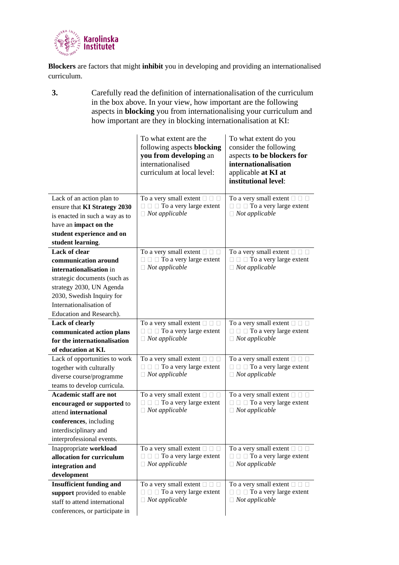

**Blockers** are factors that might **inhibit** you in developing and providing an internationalised curriculum.

**3.** Carefully read the definition of internationalisation of the curriculum in the box above. In your view, how important are the following aspects in **blocking** you from internationalising your curriculum and how important are they in blocking internationalisation at KI:

|                                                           | To what extent are the<br>following aspects blocking<br>you from developing an<br>internationalised<br>curriculum at local level: | To what extent do you<br>consider the following<br>aspects to be blockers for<br>internationalisation<br>applicable at KI at<br>institutional level: |
|-----------------------------------------------------------|-----------------------------------------------------------------------------------------------------------------------------------|------------------------------------------------------------------------------------------------------------------------------------------------------|
| Lack of an action plan to<br>ensure that KI Strategy 2030 | To a very small extent $\Box$ $\Box$<br>$\Box$ $\Box$ To a very large extent                                                      | To a very small extent $\Box$ $\Box$<br>$\Box$ $\Box$ To a very large extent                                                                         |
| is enacted in such a way as to                            | $\Box$ Not applicable                                                                                                             | $\Box$ Not applicable                                                                                                                                |
| have an impact on the                                     |                                                                                                                                   |                                                                                                                                                      |
| student experience and on                                 |                                                                                                                                   |                                                                                                                                                      |
| student learning.                                         |                                                                                                                                   |                                                                                                                                                      |
| Lack of clear                                             | To a very small extent $\square \square \square$                                                                                  | To a very small extent $\square \square \square$                                                                                                     |
| communication around                                      | $\Box$ $\Box$ To a very large extent                                                                                              | $\Box$ $\Box$ To a very large extent                                                                                                                 |
| internationalisation in                                   | $\Box$ Not applicable                                                                                                             | $\Box$ Not applicable                                                                                                                                |
| strategic documents (such as                              |                                                                                                                                   |                                                                                                                                                      |
| strategy 2030, UN Agenda                                  |                                                                                                                                   |                                                                                                                                                      |
| 2030, Swedish Inquiry for                                 |                                                                                                                                   |                                                                                                                                                      |
| Internationalisation of                                   |                                                                                                                                   |                                                                                                                                                      |
| Education and Research).                                  |                                                                                                                                   |                                                                                                                                                      |
| Lack of clearly                                           | To a very small extent $\square \square \square$<br>$\Box$ $\Box$ To a very large extent                                          | To a very small extent $\square$ $\square$<br>$\Box$ $\Box$ To a very large extent                                                                   |
| communicated action plans<br>for the internationalisation | $\Box$ Not applicable                                                                                                             | $\Box$ Not applicable                                                                                                                                |
| of education at KI.                                       |                                                                                                                                   |                                                                                                                                                      |
|                                                           |                                                                                                                                   | To a very small extent $\square$ $\square$ $\square$                                                                                                 |
| Lack of opportunities to work<br>together with culturally | To a very small extent $\square \square \square$<br>$\Box$ $\Box$ To a very large extent                                          | $\Box$ $\Box$ To a very large extent                                                                                                                 |
| diverse course/programme                                  | $\Box$ Not applicable                                                                                                             | $\Box$ Not applicable                                                                                                                                |
| teams to develop curricula.                               |                                                                                                                                   |                                                                                                                                                      |
| <b>Academic staff are not</b>                             | To a very small extent $\square \square \square$                                                                                  | To a very small extent $\square \square \square$                                                                                                     |
| encouraged or supported to                                | $\Box$ $\Box$ To a very large extent                                                                                              | $\Box$ $\Box$ To a very large extent                                                                                                                 |
| attend international                                      | $\Box$ Not applicable                                                                                                             | $\Box$ Not applicable                                                                                                                                |
| conferences, including                                    |                                                                                                                                   |                                                                                                                                                      |
| interdisciplinary and                                     |                                                                                                                                   |                                                                                                                                                      |
| interprofessional events.                                 |                                                                                                                                   |                                                                                                                                                      |
| Inappropriate workload                                    | To a very small extent $\square \square \square$                                                                                  | To a very small extent $\square \square \square$                                                                                                     |
| allocation for curriculum                                 | $\Box$ $\Box$ To a very large extent                                                                                              | $\Box$ $\Box$ To a very large extent                                                                                                                 |
| integration and                                           | $\Box$ Not applicable                                                                                                             | $\Box$ Not applicable                                                                                                                                |
| development                                               |                                                                                                                                   |                                                                                                                                                      |
| <b>Insufficient funding and</b>                           | To a very small extent $\Box$ $\Box$                                                                                              | To a very small extent $\Box$ $\Box$                                                                                                                 |
| support provided to enable                                | $\Box$ $\Box$ To a very large extent                                                                                              | $\Box$ $\Box$ To a very large extent                                                                                                                 |
| staff to attend international                             | $\Box$ Not applicable                                                                                                             | $\Box$ Not applicable                                                                                                                                |
| conferences, or participate in                            |                                                                                                                                   |                                                                                                                                                      |